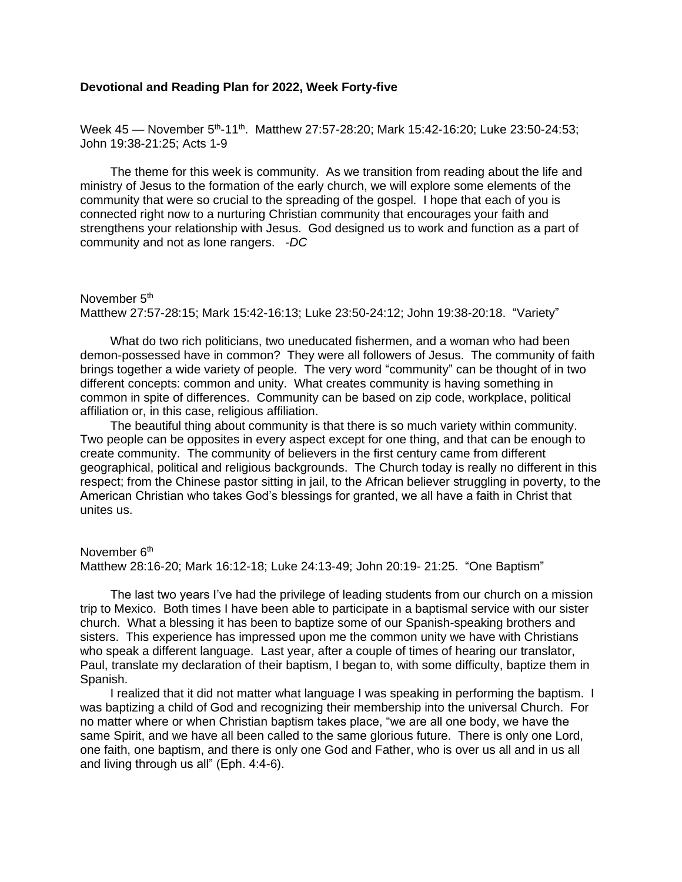## **Devotional and Reading Plan for 2022, Week Forty-five**

Week 45 — November 5<sup>th</sup>-11<sup>th</sup>. Matthew 27:57-28:20; Mark 15:42-16:20; Luke 23:50-24:53; John 19:38-21:25; Acts 1-9

The theme for this week is community. As we transition from reading about the life and ministry of Jesus to the formation of the early church, we will explore some elements of the community that were so crucial to the spreading of the gospel. I hope that each of you is connected right now to a nurturing Christian community that encourages your faith and strengthens your relationship with Jesus. God designed us to work and function as a part of community and not as lone rangers. -*DC*

November 5<sup>th</sup> Matthew 27:57-28:15; Mark 15:42-16:13; Luke 23:50-24:12; John 19:38-20:18. "Variety"

What do two rich politicians, two uneducated fishermen, and a woman who had been demon-possessed have in common? They were all followers of Jesus. The community of faith brings together a wide variety of people. The very word "community" can be thought of in two different concepts: common and unity. What creates community is having something in common in spite of differences. Community can be based on zip code, workplace, political affiliation or, in this case, religious affiliation.

The beautiful thing about community is that there is so much variety within community. Two people can be opposites in every aspect except for one thing, and that can be enough to create community. The community of believers in the first century came from different geographical, political and religious backgrounds. The Church today is really no different in this respect; from the Chinese pastor sitting in jail, to the African believer struggling in poverty, to the American Christian who takes God's blessings for granted, we all have a faith in Christ that unites us.

November 6<sup>th</sup> Matthew 28:16-20; Mark 16:12-18; Luke 24:13-49; John 20:19- 21:25. "One Baptism"

The last two years I've had the privilege of leading students from our church on a mission trip to Mexico. Both times I have been able to participate in a baptismal service with our sister church. What a blessing it has been to baptize some of our Spanish-speaking brothers and sisters. This experience has impressed upon me the common unity we have with Christians who speak a different language. Last year, after a couple of times of hearing our translator, Paul, translate my declaration of their baptism, I began to, with some difficulty, baptize them in Spanish.

I realized that it did not matter what language I was speaking in performing the baptism. I was baptizing a child of God and recognizing their membership into the universal Church. For no matter where or when Christian baptism takes place, "we are all one body, we have the same Spirit, and we have all been called to the same glorious future. There is only one Lord, one faith, one baptism, and there is only one God and Father, who is over us all and in us all and living through us all" (Eph. 4:4-6).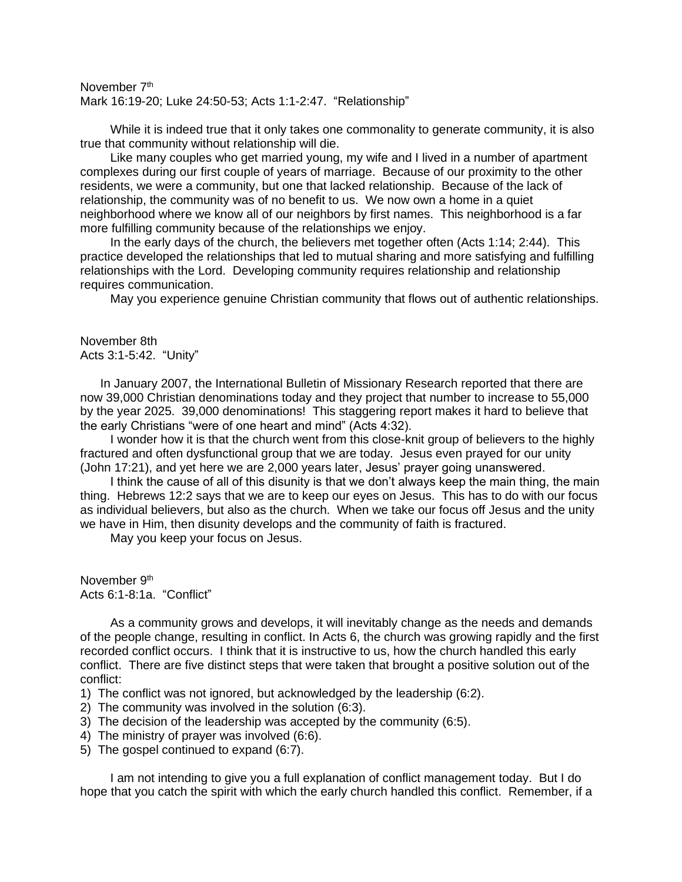## November 7<sup>th</sup> Mark 16:19-20; Luke 24:50-53; Acts 1:1-2:47. "Relationship"

While it is indeed true that it only takes one commonality to generate community, it is also true that community without relationship will die.

Like many couples who get married young, my wife and I lived in a number of apartment complexes during our first couple of years of marriage. Because of our proximity to the other residents, we were a community, but one that lacked relationship. Because of the lack of relationship, the community was of no benefit to us. We now own a home in a quiet neighborhood where we know all of our neighbors by first names. This neighborhood is a far more fulfilling community because of the relationships we enjoy.

In the early days of the church, the believers met together often (Acts 1:14; 2:44). This practice developed the relationships that led to mutual sharing and more satisfying and fulfilling relationships with the Lord. Developing community requires relationship and relationship requires communication.

May you experience genuine Christian community that flows out of authentic relationships.

November 8th Acts 3:1-5:42. "Unity"

In January 2007, the International Bulletin of Missionary Research reported that there are now 39,000 Christian denominations today and they project that number to increase to 55,000 by the year 2025. 39,000 denominations! This staggering report makes it hard to believe that the early Christians "were of one heart and mind" (Acts 4:32).

I wonder how it is that the church went from this close-knit group of believers to the highly fractured and often dysfunctional group that we are today. Jesus even prayed for our unity (John 17:21), and yet here we are 2,000 years later, Jesus' prayer going unanswered.

I think the cause of all of this disunity is that we don't always keep the main thing, the main thing. Hebrews 12:2 says that we are to keep our eyes on Jesus. This has to do with our focus as individual believers, but also as the church. When we take our focus off Jesus and the unity we have in Him, then disunity develops and the community of faith is fractured.

May you keep your focus on Jesus.

November 9th Acts 6:1-8:1a. "Conflict"

As a community grows and develops, it will inevitably change as the needs and demands of the people change, resulting in conflict. In Acts 6, the church was growing rapidly and the first recorded conflict occurs. I think that it is instructive to us, how the church handled this early conflict. There are five distinct steps that were taken that brought a positive solution out of the conflict:

- 1) The conflict was not ignored, but acknowledged by the leadership (6:2).
- 2) The community was involved in the solution (6:3).
- 3) The decision of the leadership was accepted by the community (6:5).
- 4) The ministry of prayer was involved (6:6).
- 5) The gospel continued to expand (6:7).

I am not intending to give you a full explanation of conflict management today. But I do hope that you catch the spirit with which the early church handled this conflict. Remember, if a